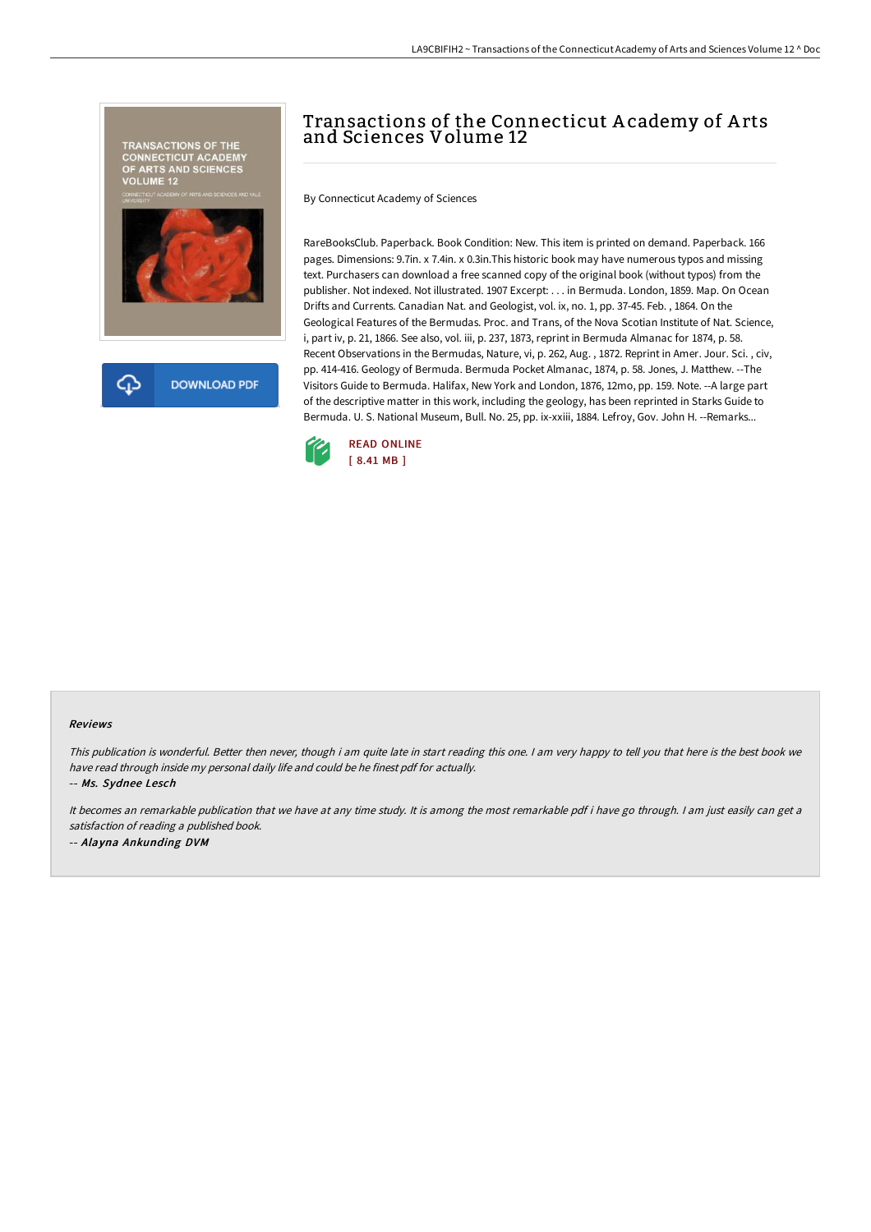

# Transactions of the Connecticut A cademy of A rts and Sciences Volume 12

By Connecticut Academy of Sciences

RareBooksClub. Paperback. Book Condition: New. This item is printed on demand. Paperback. 166 pages. Dimensions: 9.7in. x 7.4in. x 0.3in.This historic book may have numerous typos and missing text. Purchasers can download a free scanned copy of the original book (without typos) from the publisher. Not indexed. Not illustrated. 1907 Excerpt: . . . in Bermuda. London, 1859. Map. On Ocean Drifts and Currents. Canadian Nat. and Geologist, vol. ix, no. 1, pp. 37-45. Feb. , 1864. On the Geological Features of the Bermudas. Proc. and Trans, of the Nova Scotian Institute of Nat. Science, i, part iv, p. 21, 1866. See also, vol. iii, p. 237, 1873, reprint in Bermuda Almanac for 1874, p. 58. Recent Observations in the Bermudas, Nature, vi, p. 262, Aug. , 1872. Reprint in Amer. Jour. Sci. , civ, pp. 414-416. Geology of Bermuda. Bermuda Pocket Almanac, 1874, p. 58. Jones, J. Matthew. --The Visitors Guide to Bermuda. Halifax, New York and London, 1876, 12mo, pp. 159. Note. --A large part of the descriptive matter in this work, including the geology, has been reprinted in Starks Guide to Bermuda. U. S. National Museum, Bull. No. 25, pp. ix-xxiii, 1884. Lefroy, Gov. John H. --Remarks...



#### Reviews

This publication is wonderful. Better then never, though i am quite late in start reading this one. <sup>I</sup> am very happy to tell you that here is the best book we have read through inside my personal daily life and could be he finest pdf for actually.

-- Ms. Sydnee Lesch

It becomes an remarkable publication that we have at any time study. It is among the most remarkable pdf i have go through. <sup>I</sup> am just easily can get <sup>a</sup> satisfaction of reading <sup>a</sup> published book. -- Alayna Ankunding DVM